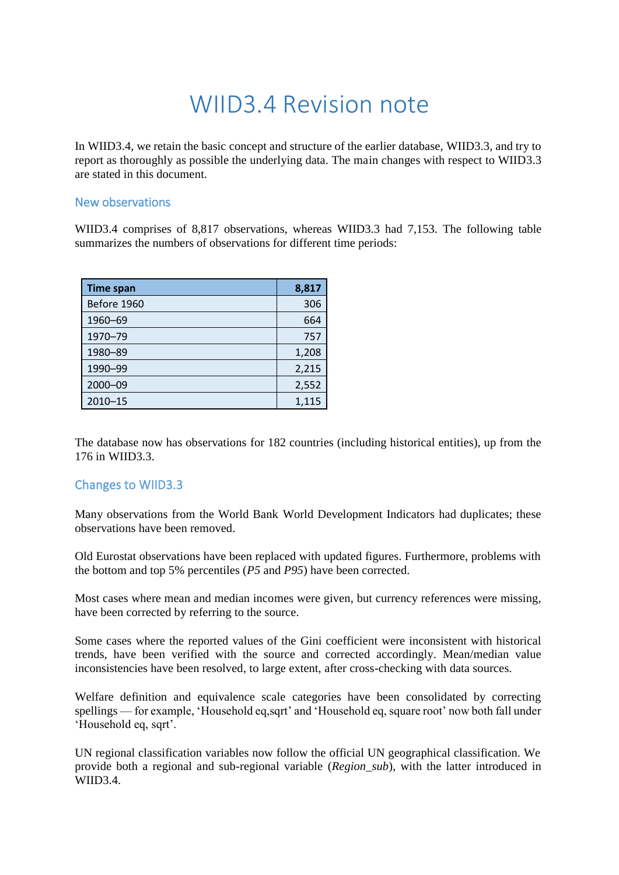## WIID3.4 Revision note

In WIID3.4, we retain the basic concept and structure of the earlier database, WIID3.3, and try to report as thoroughly as possible the underlying data. The main changes with respect to WIID3.3 are stated in this document.

## New observations

WIID3.4 comprises of 8,817 observations, whereas WIID3.3 had 7,153. The following table summarizes the numbers of observations for different time periods:

| <b>Time span</b> | 8,817 |
|------------------|-------|
| Before 1960      | 306   |
| 1960-69          | 664   |
| 1970-79          | 757   |
| 1980-89          | 1,208 |
| 1990-99          | 2,215 |
| 2000-09          | 2,552 |
| $2010 - 15$      | 1,115 |

The database now has observations for 182 countries (including historical entities), up from the 176 in WIID3.3.

## Changes to WIID3.3

Many observations from the World Bank World Development Indicators had duplicates; these observations have been removed.

Old Eurostat observations have been replaced with updated figures. Furthermore, problems with the bottom and top 5% percentiles (*P5* and *P95*) have been corrected.

Most cases where mean and median incomes were given, but currency references were missing, have been corrected by referring to the source.

Some cases where the reported values of the Gini coefficient were inconsistent with historical trends, have been verified with the source and corrected accordingly. Mean/median value inconsistencies have been resolved, to large extent, after cross-checking with data sources.

Welfare definition and equivalence scale categories have been consolidated by correcting spellings — for example, 'Household eq,sqrt' and 'Household eq, square root' now both fall under 'Household eq, sqrt'.

UN regional classification variables now follow the official UN geographical classification. We provide both a regional and sub-regional variable (*Region\_sub*), with the latter introduced in WIID3.4.